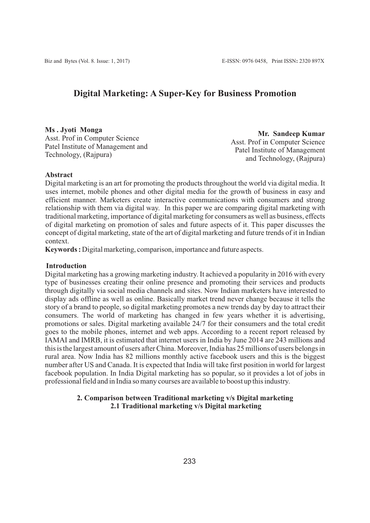# **Digital Marketing: A Super-Key for Business Promotion**

**Ms . Jyoti Monga** Asst. Prof in Computer Science Patel Institute of Management and Technology, (Rajpura)

 **Mr. Sandeep Kumar** Asst. Prof in Computer Science Patel Institute of Management and Technology, (Rajpura)

#### **Abstract**

Digital marketing is an art for promoting the products throughout the world via digital media. It uses internet, mobile phones and other digital media for the growth of business in easy and efficient manner. Marketers create interactive communications with consumers and strong relationship with them via digital way. In this paper we are comparing digital marketing with traditional marketing, importance of digital marketing for consumers as well as business, effects of digital marketing on promotion of sales and future aspects of it. This paper discusses the concept of digital marketing, state of the art of digital marketing and future trends of it in Indian context.

**Keywords :** Digital marketing, comparison, importance and future aspects.

#### **Introduction**

Digital marketing has a growing marketing industry. It achieved a popularity in 2016 with every type of businesses creating their online presence and promoting their services and products through digitally via social media channels and sites. Now Indian marketers have interested to display ads offline as well as online. Basically market trend never change because it tells the story of a brand to people, so digital marketing promotes a new trends day by day to attract their consumers. The world of marketing has changed in few years whether it is advertising, promotions or sales. Digital marketing available 24/7 for their consumers and the total credit goes to the mobile phones, internet and web apps. According to a recent report released by IAMAI and IMRB, it is estimated that internet users in India by June 2014 are 243 millions and this is the largest amount of users after China. Moreover, India has 25 millions of users belongs in rural area. Now India has 82 millions monthly active facebook users and this is the biggest number after US and Canada. It is expected that India will take first position in world for largest facebook population. In India Digital marketing has so popular, so it provides a lot of jobs in professional field and in India so many courses are available to boost up this industry.

### **2. Comparison between Traditional marketing v/s Digital marketing 2.1 Traditional marketing v/s Digital marketing**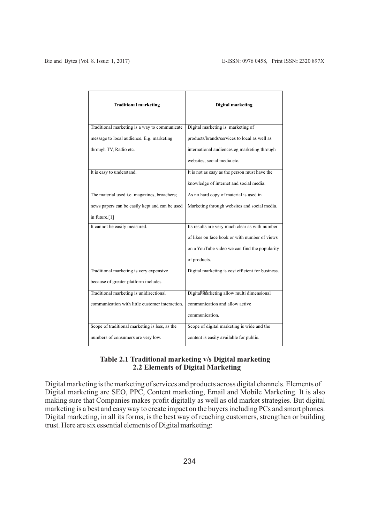| <b>Traditional marketing</b>                    | <b>Digital marketing</b>                                                                                                                                                                                                                                                                                                                                                                   |
|-------------------------------------------------|--------------------------------------------------------------------------------------------------------------------------------------------------------------------------------------------------------------------------------------------------------------------------------------------------------------------------------------------------------------------------------------------|
| Traditional marketing is a way to communicate   | Digital marketing is marketing of                                                                                                                                                                                                                                                                                                                                                          |
| message to local audience. E.g. marketing       | products/brands/services to local as well as                                                                                                                                                                                                                                                                                                                                               |
| through TV, Radio etc.                          | international audiences.eg marketing through                                                                                                                                                                                                                                                                                                                                               |
|                                                 | websites, social media etc.                                                                                                                                                                                                                                                                                                                                                                |
| It is easy to understand.                       | It is not as easy as the person must have the                                                                                                                                                                                                                                                                                                                                              |
|                                                 | knowledge of internet and social media.                                                                                                                                                                                                                                                                                                                                                    |
| The material used i.e. magazines, broachers;    | As no hard copy of material is used in                                                                                                                                                                                                                                                                                                                                                     |
| news papers can be easily kept and can be used  | Marketing through websites and social media.                                                                                                                                                                                                                                                                                                                                               |
| in future.[1]                                   |                                                                                                                                                                                                                                                                                                                                                                                            |
| It cannot be easily measured.                   | Its results are very much clear as with number                                                                                                                                                                                                                                                                                                                                             |
|                                                 | of likes on face book or with number of views                                                                                                                                                                                                                                                                                                                                              |
|                                                 | on a YouTube video we can find the popularity                                                                                                                                                                                                                                                                                                                                              |
|                                                 | of products.                                                                                                                                                                                                                                                                                                                                                                               |
| Traditional marketing is very expensive         | Digital marketing is cost efficient for business.                                                                                                                                                                                                                                                                                                                                          |
| because of greater platform includes.           |                                                                                                                                                                                                                                                                                                                                                                                            |
| Traditional marketing is unidirectional         | Digital <i>a</i> <sup><i>fa</i></sup> <i>fa</i> <sup><i>r</i></sup> <b><i>a</i></b> <sup><i>fa</i></sup> <i>fa</i> <sup><i>r</i></sup> <b><i>fa</i></b> <sup><i>fa</i></sup> <i>fa</i> <sup><i>f</i></sup> <b><i>fafafafafafafafafa<i>fa</i></i></b> <i><i>fafa</i><b><i><i>fafa</i></i></b><i>fafa</i><b><i><i>fa</i></i></b><i>fa</i><b><i><i>fa</i></i></b><i>fafafa<i>fafa</i></i></i> |
| communication with little customer interaction. | communication and allow active                                                                                                                                                                                                                                                                                                                                                             |
|                                                 | communication.                                                                                                                                                                                                                                                                                                                                                                             |
| Scope of traditional marketing is less, as the  | Scope of digital marketing is wide and the                                                                                                                                                                                                                                                                                                                                                 |
| numbers of consumers are very low.              | content is easily available for public.                                                                                                                                                                                                                                                                                                                                                    |

# **Table 2.1 Traditional marketing v/s Digital marketing 2.2 Elements of Digital Marketing**

Digital marketing is the marketing of services and products across digital channels. Elements of Digital marketing are SEO, PPC, Content marketing, Email and Mobile Marketing. It is also making sure that Companies makes profit digitally as well as old market strategies. But digital marketing is a best and easy way to create impact on the buyers including PCs and smart phones. Digital marketing, in all its forms, is the best way of reaching customers, strengthen or building trust. Here are six essential elements of Digital marketing: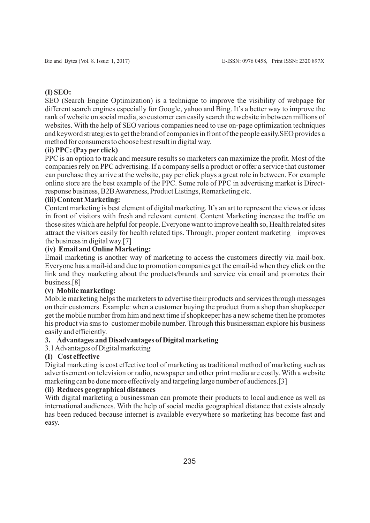## **(I) SEO:**

SEO (Search Engine Optimization) is a technique to improve the visibility of webpage for different search engines especially for Google, yahoo and Bing. It's a better way to improve the rank of website on social media, so customer can easily search the website in between millions of websites. With the help of SEO various companies need to use on-page optimization techniques and keyword strategies to get the brand of companies in front of the people easily.SEO provides a method for consumers to choose best result in digital way.

### **(ii) PPC: (Pay per click)**

PPC is an option to track and measure results so marketers can maximize the profit. Most of the companies rely on PPC advertising. If a company sells a product or offer a service that customer can purchase they arrive at the website, pay per click plays a great role in between. For example online store are the best example of the PPC. Some role of PPC in advertising market is Directresponse business, B2B Awareness, Product Listings, Remarketing etc.

### **(iii) Content Marketing:**

Content marketing is best element of digital marketing. It's an art to represent the views or ideas in front of visitors with fresh and relevant content. Content Marketing increase the traffic on those sites which are helpful for people. Everyone want to improve health so, Health related sites attract the visitors easily for health related tips. Through, proper content marketing improves the business in digital way.[7]

### **(iv) Email and Online Marketing:**

Email marketing is another way of marketing to access the customers directly via mail-box. Everyone has a mail-id and due to promotion companies get the email-id when they click on the link and they marketing about the products/brands and service via email and promotes their business.[8]

#### **(v) Mobile marketing:**

Mobile marketing helps the marketers to advertise their products and services through messages on their customers. Example: when a customer buying the product from a shop than shopkeeper get the mobile number from him and next time if shopkeeper has a new scheme then he promotes his product via sms to customer mobile number. Through this businessman explore his business easily and efficiently.

### **3. Advantages and Disadvantages of Digital marketing**

3.1 Advantages of Digital marketing

# **(I) Cost effective**

Digital marketing is cost effective tool of marketing as traditional method of marketing such as advertisement on television or radio, newspaper and other print media are costly. With a website marketing can be done more effectively and targeting large number of audiences.[3]

#### **(ii) Reduces geographical distances**

With digital marketing a businessman can promote their products to local audience as well as international audiences. With the help of social media geographical distance that exists already has been reduced because internet is available everywhere so marketing has become fast and easy.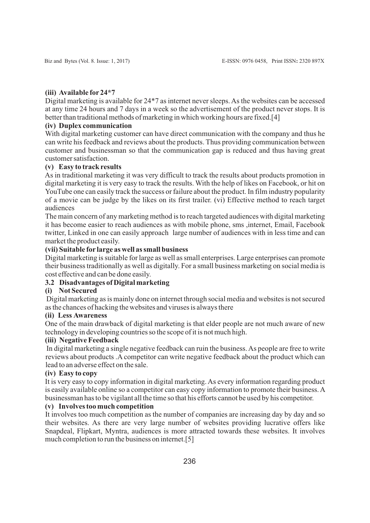## **(iii) Available for 24\*7**

Digital marketing is available for 24\*7 as internet never sleeps. As the websites can be accessed at any time 24 hours and 7 days in a week so the advertisement of the product never stops. It is better than traditional methods of marketing in which working hours are fixed.[4]

### **(iv) Duplex communication**

With digital marketing customer can have direct communication with the company and thus he can write his feedback and reviews about the products. Thus providing communication between customer and businessman so that the communication gap is reduced and thus having great customer satisfaction.

## **(v) Easy to track results**

As in traditional marketing it was very difficult to track the results about products promotion in digital marketing it is very easy to track the results. With the help of likes on Facebook, or hit on YouTube one can easily track the success or failure about the product. In film industry popularity of a movie can be judge by the likes on its first trailer. (vi) Effective method to reach target audiences

The main concern of any marketing method is to reach targeted audiences with digital marketing it has become easier to reach audiences as with mobile phone, sms ,internet, Email, Facebook twitter, Linked in one can easily approach large number of audiences with in less time and can market the product easily.

## **(vii) Suitable for large as well as small business**

Digital marketing is suitable for large as well as small enterprises. Large enterprises can promote their business traditionally as well as digitally. For a small business marketing on social media is cost effective and can be done easily.

# **3.2 Disadvantages of Digital marketing**

### **(i) Not Secured**

Digital marketing as is mainly done on internet through social media and websites is not secured as the chances of hacking the websites and viruses is always there

### **(ii) Less Awareness**

One of the main drawback of digital marketing is that elder people are not much aware of new technology in developing countries so the scope of it is not much high.

# **(iii) Negative Feedback**

In digital marketing a single negative feedback can ruin the business. As people are free to write reviews about products .A competitor can write negative feedback about the product which can lead to an adverse effect on the sale.

## **(iv) Easy to copy**

It is very easy to copy information in digital marketing. As every information regarding product is easily available online so a competitor can easy copy information to promote their business. A businessman has to be vigilant all the time so that his efforts cannot be used by his competitor.

# **(v) Involves too much competition**

It involves too much competition as the number of companies are increasing day by day and so their websites. As there are very large number of websites providing lucrative offers like Snapdeal, Flipkart, Myntra, audiences is more attracted towards these websites. It involves much completion to run the business on internet.[5]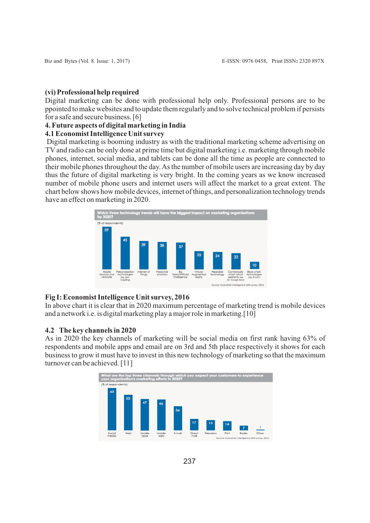## **(vi) Professional help required**

Digital marketing can be done with professional help only. Professional persons are to be ppointed to make websites and to update them regularly and to solve technical problem if persists for a safe and secure business. [6]

## **4. Future aspects of digital marketing in India**

# **4.1 Economist Intelligence Unit survey**

Digital marketing is booming industry as with the traditional marketing scheme advertising on TV and radio can be only done at prime time but digital marketing i.e. marketing through mobile phones, internet, social media, and tablets can be done all the time as people are connected to their mobile phones throughout the day. As the number of mobile users are increasing day by day thus the future of digital marketing is very bright. In the coming years as we know increased number of mobile phone users and internet users will affect the market to a great extent. The chart below shows how mobile devices, internet of things, and personalization technology trends have an effect on marketing in 2020.



# **Fig I: Economist Intelligence Unit survey, 2016**

In above chart it is clear that in 2020 maximum percentage of marketing trend is mobile devices and a network i.e. is digital marketing play a major role in marketing.[10]

# **4.2 The key channels in 2020**

As in 2020 the key channels of marketing will be social media on first rank having 63% of respondents and mobile apps and email are on 3rd and 5th place respectively it shows for each business to grow it must have to invest in this new technology of marketing so that the maximum turnover can be achieved. [11]